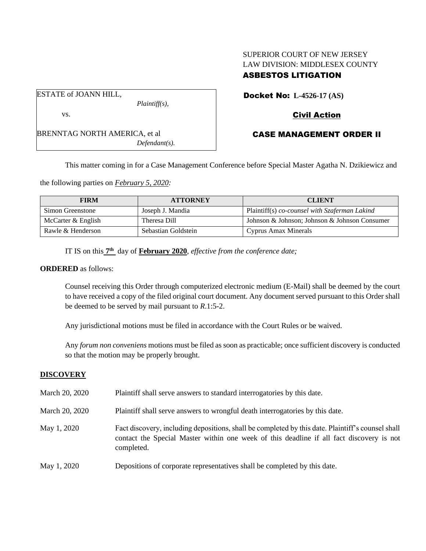# SUPERIOR COURT OF NEW JERSEY LAW DIVISION: MIDDLESEX COUNTY ASBESTOS LITIGATION

Docket No: **L-4526-17 (AS)**

ESTATE of JOANN HILL,

*Plaintiff(s),*

# Civil Action

## CASE MANAGEMENT ORDER II

This matter coming in for a Case Management Conference before Special Master Agatha N. Dzikiewicz and

the following parties on *February 5, 2020:*

| <b>FIRM</b>        | <b>ATTORNEY</b>     | <b>CLIENT</b>                                 |
|--------------------|---------------------|-----------------------------------------------|
| Simon Greenstone   | Joseph J. Mandia    | Plaintiff(s) co-counsel with Szaferman Lakind |
| McCarter & English | Theresa Dill        | Johnson & Johnson; Johnson & Johnson Consumer |
| Rawle & Henderson  | Sebastian Goldstein | Cyprus Amax Minerals                          |

IT IS on this  $7<sup>th</sup>$  day of **February 2020**, *effective from the conference date*;

#### **ORDERED** as follows:

Counsel receiving this Order through computerized electronic medium (E-Mail) shall be deemed by the court to have received a copy of the filed original court document. Any document served pursuant to this Order shall be deemed to be served by mail pursuant to *R*.1:5-2.

Any jurisdictional motions must be filed in accordance with the Court Rules or be waived.

Any *forum non conveniens* motions must be filed as soon as practicable; once sufficient discovery is conducted so that the motion may be properly brought.

## **DISCOVERY**

| March 20, 2020 | Plaintiff shall serve answers to standard interrogatories by this date.                                                                                                                                     |
|----------------|-------------------------------------------------------------------------------------------------------------------------------------------------------------------------------------------------------------|
| March 20, 2020 | Plaintiff shall serve answers to wrongful death interrogatories by this date.                                                                                                                               |
| May 1, 2020    | Fact discovery, including depositions, shall be completed by this date. Plaintiff's counsel shall<br>contact the Special Master within one week of this deadline if all fact discovery is not<br>completed. |
| May 1, 2020    | Depositions of corporate representatives shall be completed by this date.                                                                                                                                   |

vs.

BRENNTAG NORTH AMERICA, et al

*Defendant(s).*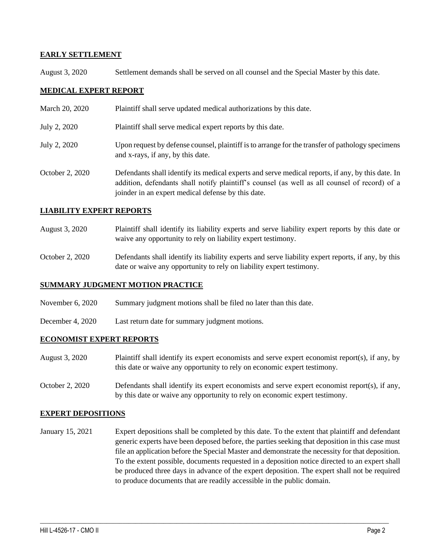## **EARLY SETTLEMENT**

August 3, 2020 Settlement demands shall be served on all counsel and the Special Master by this date.

## **MEDICAL EXPERT REPORT**

March 20, 2020 Plaintiff shall serve updated medical authorizations by this date. July 2, 2020 Plaintiff shall serve medical expert reports by this date. July 2, 2020 Upon request by defense counsel, plaintiff is to arrange for the transfer of pathology specimens and x-rays, if any, by this date. October 2, 2020 Defendants shall identify its medical experts and serve medical reports, if any, by this date. In addition, defendants shall notify plaintiff's counsel (as well as all counsel of record) of a joinder in an expert medical defense by this date.

## **LIABILITY EXPERT REPORTS**

- August 3, 2020 Plaintiff shall identify its liability experts and serve liability expert reports by this date or waive any opportunity to rely on liability expert testimony.
- October 2, 2020 Defendants shall identify its liability experts and serve liability expert reports, if any, by this date or waive any opportunity to rely on liability expert testimony.

## **SUMMARY JUDGMENT MOTION PRACTICE**

- November 6, 2020 Summary judgment motions shall be filed no later than this date.
- December 4, 2020 Last return date for summary judgment motions.

## **ECONOMIST EXPERT REPORTS**

- August 3, 2020 Plaintiff shall identify its expert economists and serve expert economist report(s), if any, by this date or waive any opportunity to rely on economic expert testimony.
- October 2, 2020 Defendants shall identify its expert economists and serve expert economist report(s), if any, by this date or waive any opportunity to rely on economic expert testimony.

## **EXPERT DEPOSITIONS**

January 15, 2021 Expert depositions shall be completed by this date. To the extent that plaintiff and defendant generic experts have been deposed before, the parties seeking that deposition in this case must file an application before the Special Master and demonstrate the necessity for that deposition. To the extent possible, documents requested in a deposition notice directed to an expert shall be produced three days in advance of the expert deposition. The expert shall not be required to produce documents that are readily accessible in the public domain.

 $\_$  , and the set of the set of the set of the set of the set of the set of the set of the set of the set of the set of the set of the set of the set of the set of the set of the set of the set of the set of the set of th